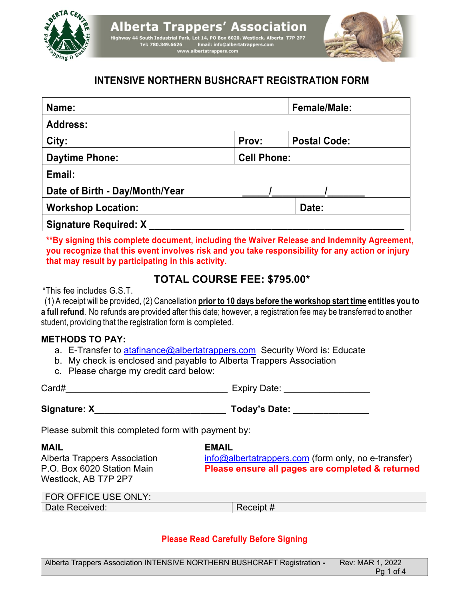

# **INTENSIVE NORTHERN BUSHCRAFT REGISTRATION FORM**

| Name:                          |                    | <b>Female/Male:</b> |
|--------------------------------|--------------------|---------------------|
| <b>Address:</b>                |                    |                     |
| City:                          | Prov:              | <b>Postal Code:</b> |
| <b>Daytime Phone:</b>          | <b>Cell Phone:</b> |                     |
| Email:                         |                    |                     |
| Date of Birth - Day/Month/Year |                    |                     |
| <b>Workshop Location:</b>      |                    | Date:               |
| <b>Signature Required: X</b>   |                    |                     |

**\*\*By signing this complete document, including the Waiver Release and Indemnity Agreement, you recognize that this event involves risk and you take responsibility for any action or injury that may result by participating in this activity.**

# **TOTAL COURSE FEE: \$795.00\***

\*This fee includes G.S.T.

(1) A receipt will be provided, (2) Cancellation **prior to 10 days before the workshop start time entitles you to a full refund**. No refunds are provided after this date; however, a registration fee may be transferred to another student, providing that the registration form is completed.

## **METHODS TO PAY:**

- a. E-Transfer to atafinance@albertatrappers.com Security Word is: Educate
- b. My check is enclosed and payable to Alberta Trappers Association
- c. Please charge my credit card below:

| Card# | <b>Experience</b><br>---<br>ате<br>$\sim$<br>. . |
|-------|--------------------------------------------------|
|       |                                                  |

Signature: X

|  | <b>Today's Date:</b> |  |  |
|--|----------------------|--|--|
|--|----------------------|--|--|

Please submit this completed form with payment by:

Westlock, AB T7P 2P7

**MAIL EMAIL**

Alberta Trappers Association info@albertatrappers.com (form only, no e-transfer) P.O. Box 6020 Station Main **Please ensure all pages are completed & returned**

| FOR OFFICE USE ONLY: |           |
|----------------------|-----------|
| Date Received:       | Receipt # |

# **Please Read Carefully Before Signing**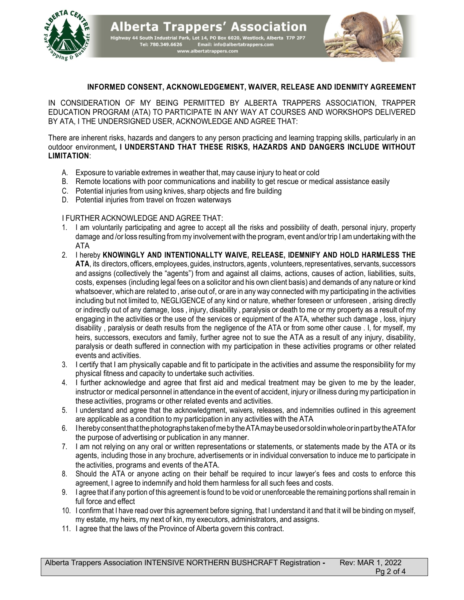

**Alberta Trappers' Association**  $\frac{1}{2}$  and  $\frac{1}{2}$  and  $\frac{1}{2}$  and  $\frac{1}{2}$  and  $\frac{1}{2}$  and  $\frac{1}{2}$  and  $\frac{1}{2}$  and  $\frac{1}{2}$  and  $\frac{1}{2}$  and  $\frac{1}{2}$  and  $\frac{1}{2}$  and  $\frac{1}{2}$  and  $\frac{1}{2}$  and  $\frac{1}{2}$  and  $\frac{1}{2}$  and  $\frac{1}{2}$  a



#### **INFORMED CONSENT, ACKNOWLEDGEMENT, WAIVER, RELEASE AND IDENMITY AGREEMENT**

IN CONSIDERATION OF MY BEING PERMITTED BY ALBERTA TRAPPERS ASSOCIATION, TRAPPER EDUCATION PROGRAM (ATA) TO PARTICIPATE IN ANY WAY AT COURSES AND WORKSHOPS DELIVERED BY ATA, I THE UNDERSIGNED USER, ACKNOWLEDGE AND AGREE THAT:

There are inherent risks, hazards and dangers to any person practicing and learning trapping skills, particularly in an outdoor environment**, I UNDERSTAND THAT THESE RISKS, HAZARDS AND DANGERS INCLUDE WITHOUT LIMITATION**:

- A. Exposure to variable extremes in weather that,may cause injury to heat or cold
- B. Remote locations with poor communications and inability to get rescue or medical assistance easily
- C. Potential injuries from using knives, sharp objects and fire building
- D. Potential injuries from travel on frozen waterways

#### I FURTHER ACKNOWLEDGE AND AGREE THAT:

- 1. I am voluntarily participating and agree to accept all the risks and possibility of death, personal injury, property damage and /or loss resulting from my involvement with the program, event and/or trip I am undertaking with the ATA
- 2. I hereby **KNOWINGLY AND INTENTIONALLTY WAIVE, RELEASE, IDEMNIFY AND HOLD HARMLESS THE ATA**, its directors,officers,employees, guides, instructors,agents , volunteers,representatives, servants, successors and assigns (collectively the "agents") from and against all claims, actions, causes of action, liabilities, suits, costs, expenses (including legal fees on a solicitor and his own client basis) and demands of any nature or kind whatsoever, which are related to , arise out of, or are in any way connected with my participating in the activities including but not limited to, NEGLIGENCE of any kind or nature, whether foreseen or unforeseen , arising directly or indirectly out of any damage, loss , injury, disability , paralysis or death to me or my property as a result of my engaging in the activities or the use of the services or equipment of the ATA, whether such damage , loss, injury disability , paralysis or death results from the negligence of the ATA or from some other cause . I, for myself, my heirs, successors, executors and family, further agree not to sue the ATA as a result of any injury, disability, paralysis or death suffered in connection with my participation in these activities programs or other related events and activities.
- 3. I certify that I am physically capable and fit to participate in the activities and assume the responsibility for my physical fitness and capacity to undertake such activities.
- 4. I further acknowledge and agree that first aid and medical treatment may be given to me by the leader, instructor or medical personnel in attendance in the event of accident, injury or illness during my participation in these activities, programs or other related events and activities.
- 5. I understand and agree that the acknowledgment, waivers, releases, and indemnities outlined in this agreement are applicable as a condition to my participation in any activities with the ATA
- 6. IherebyconsentthatthephotographstakenofmebytheATAmaybeusedorsoldinwholeorinpartbytheATAfor the purpose of advertising or publication in any manner.
- 7. I am not relying on any oral or written representations or statements, or statements made by the ATA or its agents, including those in any brochure, advertisements or in individual conversation to induce me to participate in the activities, programs and events of theATA.
- 8. Should the ATA or anyone acting on their behalf be required to incur lawyer's fees and costs to enforce this agreement, I agree to indemnify and hold them harmless for all such fees and costs.
- 9. I agree that if any portion of this agreement is found to be void or unenforceable the remaining portions shall remain in full force and effect
- 10. I confirm that I have read over this agreement before signing, that I understand it and that it will be binding on myself, my estate, my heirs, my next of kin, my executors, administrators, and assigns.
- 11. I agree that the laws of the Province of Alberta govern this contract.

Alberta Trappers Association INTENSIVE NORTHERN BUSHCRAFT Registration **-** Rev: MAR 1, 2022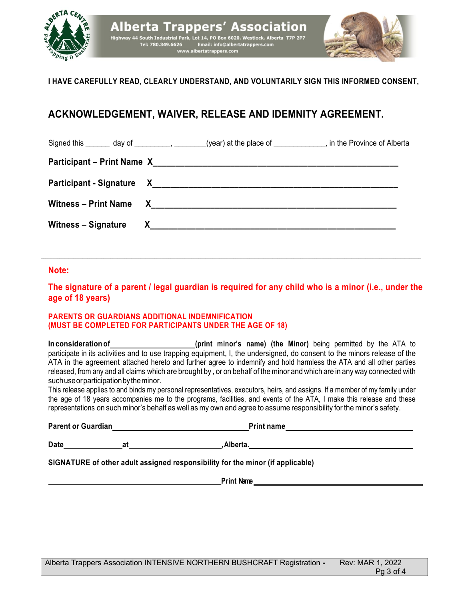

## **I HAVE CAREFULLY READ, CLEARLY UNDERSTAND, AND VOLUNTARILY SIGN THIS INFORMED CONSENT,**

# **ACKNOWLEDGEMENT, WAIVER, RELEASE AND IDEMNITY AGREEMENT.**

|                            |                          | Signed this day of (year) at the place of the set of the Province of Alberta |
|----------------------------|--------------------------|------------------------------------------------------------------------------|
|                            |                          |                                                                              |
|                            |                          |                                                                              |
|                            | Witness – Print Name $X$ |                                                                              |
| <b>Witness - Signature</b> |                          |                                                                              |

#### **Note:**

**The signature of a parent / legal guardian is required for any child who is a minor (i.e., under the age of 18 years)**

 $\mathcal{L}_\mathcal{L} = \mathcal{L}_\mathcal{L} = \mathcal{L}_\mathcal{L} = \mathcal{L}_\mathcal{L} = \mathcal{L}_\mathcal{L} = \mathcal{L}_\mathcal{L} = \mathcal{L}_\mathcal{L} = \mathcal{L}_\mathcal{L} = \mathcal{L}_\mathcal{L} = \mathcal{L}_\mathcal{L} = \mathcal{L}_\mathcal{L} = \mathcal{L}_\mathcal{L} = \mathcal{L}_\mathcal{L} = \mathcal{L}_\mathcal{L} = \mathcal{L}_\mathcal{L} = \mathcal{L}_\mathcal{L} = \mathcal{L}_\mathcal{L}$ 

#### **PARENTS OR GUARDIANS ADDITIONAL INDEMNIFICATION (MUST BE COMPLETED FOR PARTICIPANTS UNDER THE AGE OF 18)**

**In** consideration of **and the Constant Constant Constant Constant Constant Consideration of <b>Constant Constant Constant Constant Constant Consideration of <b>Constant Constant Constant Constant Consideration** of the ATA to participate in its activities and to use trapping equipment, I, the undersigned, do consent to the minors release of the ATA in the agreement attached hereto and further agree to indemnify and hold harmless the ATA and all other parties released, from any and all claims which are brought by , or on behalf of the minor and which are in any way connected with suchuseorparticipationbytheminor.

This release applies to and binds my personal representatives, executors, heirs, and assigns. If a member of my family under the age of 18 years accompanies me to the programs, facilities, and events of the ATA, I make this release and these representations on such minor's behalf as well as my own and agree to assume responsibility for the minor's safety.

**Parent or Guardian** 

|  | <b>Print name</b> |  |
|--|-------------------|--|
|  |                   |  |

Date at a at Alberta.

**SIGNATURE of other adult assigned responsibility for the minor (if applicable)**

**Print Name** *Dependent**Legislation* **<b>***Legislation Legislation**Legislation* **<b>***Legislation Legislation*